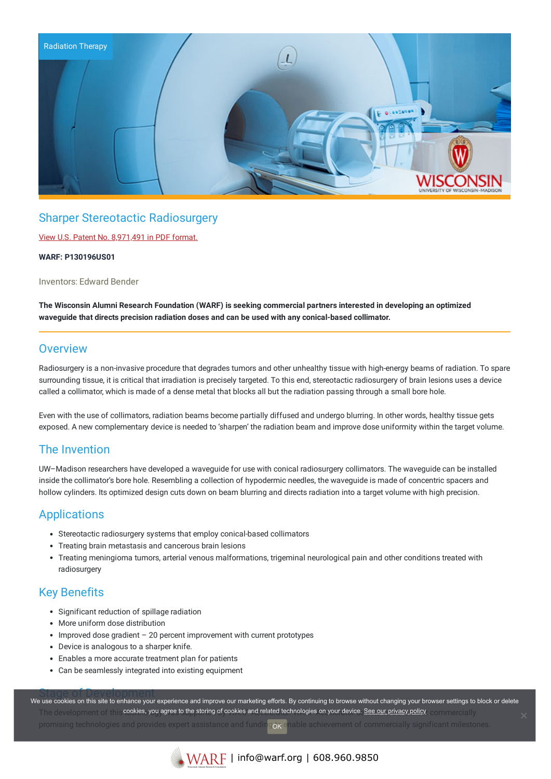

# Sharper Stereotactic Radiosurgery

View U.S. Patent No. [8,971,491](https://www.warf.org/wp-content/uploads/technologies/ipstatus/P130196US01.pdf) in PDF format.

#### **WARF: P130196US01**

Inventors: Edward Bender

**The Wisconsin Alumni Research Foundation (WARF) is seeking commercial partners interested in developing an optimized waveguide that directs precision radiation doses and can be used with any conical-based collimator.**

## **Overview**

Radiosurgery is a non-invasive procedure that degrades tumors and other unhealthy tissue with high-energy beams of radiation. To spare surrounding tissue, it is critical that irradiation is precisely targeted. To this end, stereotactic radiosurgery of brain lesions uses a device called a collimator, which is made of a dense metal that blocks all but the radiation passing through a small bore hole.

Even with the use of collimators, radiation beams become partially diffused and undergo blurring. In other words, healthy tissue gets exposed. A new complementary device is needed to 'sharpen' the radiation beam and improve dose uniformity within the target volume.

## The Invention

UW–Madison researchers have developed a waveguide for use with conical radiosurgery collimators. The waveguide can be installed inside the collimator's bore hole. Resembling a collection of hypodermic needles, the waveguide is made of concentric spacers and hollow cylinders. Its optimized design cuts down on beam blurring and directs radiation into a target volume with high precision.

## Applications

- Stereotactic radiosurgery systems that employ conical-based collimators
- Treating brain metastasis and cancerous brain lesions
- Treating meningioma tumors, arterial venous malformations, trigeminal neurological pain and other conditions treated with radiosurgery

## Key Benefits

- Significant reduction of spillage radiation
- More uniform dose distribution
- Improved dose gradient 20 percent improvement with current prototypes
- Device is analogous to a sharper knife.
- Enables a more accurate treatment plan for patients
- Can be seamlessly integrated into existing equipment

Stage of Development<br>We use cookies on this site to enhance your experience and improve our marketing efforts. By continuing to browse without changing your browser settings to block or delete The development of the **cookies, you agree to the storing of cookies and related technologies on your device. <u>See our privacy policy</u> commentially** promising technologies and provides expert assistance and funding or enable achievement of commercially significant milestones. **OOK**